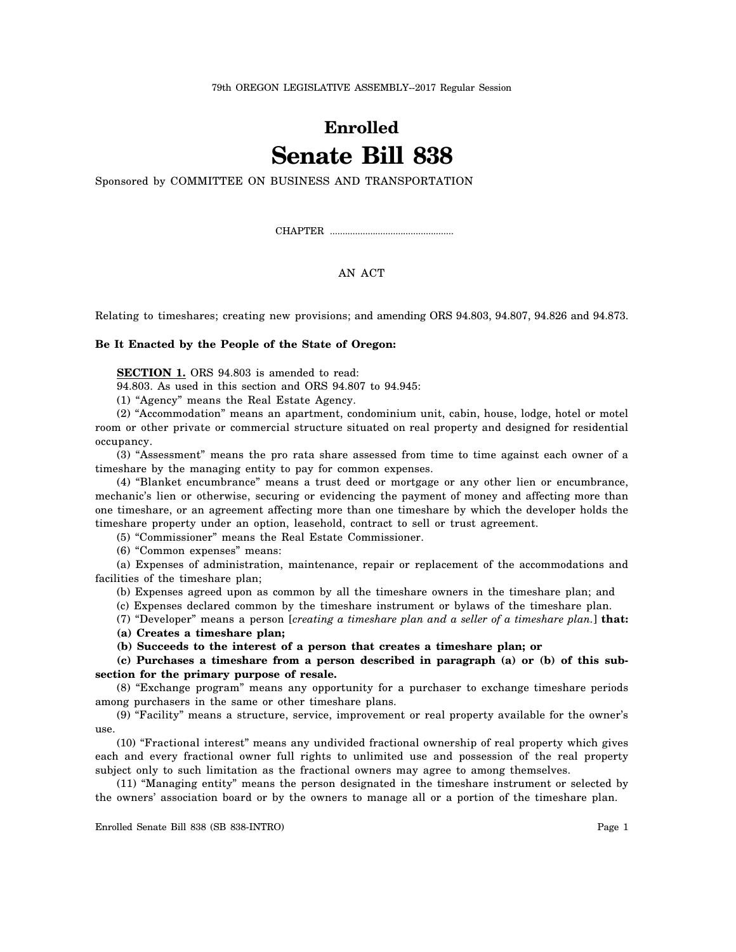## **Enrolled Senate Bill 838**

Sponsored by COMMITTEE ON BUSINESS AND TRANSPORTATION

CHAPTER .................................................

## AN ACT

Relating to timeshares; creating new provisions; and amending ORS 94.803, 94.807, 94.826 and 94.873.

## **Be It Enacted by the People of the State of Oregon:**

**SECTION 1.** ORS 94.803 is amended to read:

94.803. As used in this section and ORS 94.807 to 94.945:

(1) "Agency" means the Real Estate Agency.

(2) "Accommodation" means an apartment, condominium unit, cabin, house, lodge, hotel or motel room or other private or commercial structure situated on real property and designed for residential occupancy.

(3) "Assessment" means the pro rata share assessed from time to time against each owner of a timeshare by the managing entity to pay for common expenses.

(4) "Blanket encumbrance" means a trust deed or mortgage or any other lien or encumbrance, mechanic's lien or otherwise, securing or evidencing the payment of money and affecting more than one timeshare, or an agreement affecting more than one timeshare by which the developer holds the timeshare property under an option, leasehold, contract to sell or trust agreement.

(5) "Commissioner" means the Real Estate Commissioner.

(6) "Common expenses" means:

(a) Expenses of administration, maintenance, repair or replacement of the accommodations and facilities of the timeshare plan;

(b) Expenses agreed upon as common by all the timeshare owners in the timeshare plan; and

(c) Expenses declared common by the timeshare instrument or bylaws of the timeshare plan.

(7) "Developer" means a person [*creating a timeshare plan and a seller of a timeshare plan.*] **that:**

**(a) Creates a timeshare plan;**

**(b) Succeeds to the interest of a person that creates a timeshare plan; or**

**(c) Purchases a timeshare from a person described in paragraph (a) or (b) of this subsection for the primary purpose of resale.**

(8) "Exchange program" means any opportunity for a purchaser to exchange timeshare periods among purchasers in the same or other timeshare plans.

(9) "Facility" means a structure, service, improvement or real property available for the owner's use.

(10) "Fractional interest" means any undivided fractional ownership of real property which gives each and every fractional owner full rights to unlimited use and possession of the real property subject only to such limitation as the fractional owners may agree to among themselves.

(11) "Managing entity" means the person designated in the timeshare instrument or selected by the owners' association board or by the owners to manage all or a portion of the timeshare plan.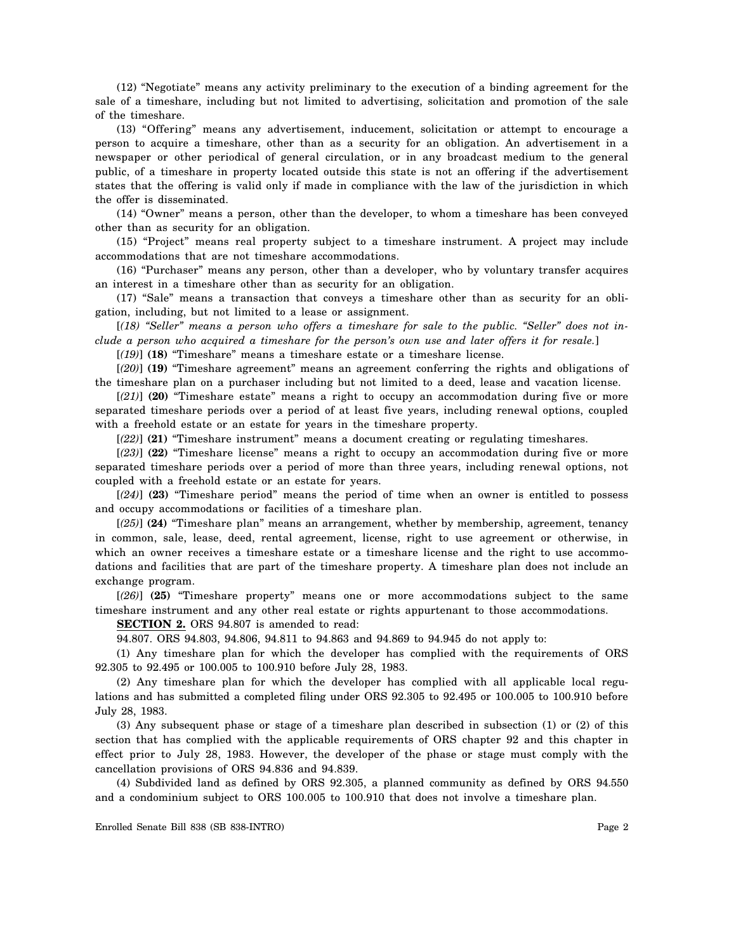(12) "Negotiate" means any activity preliminary to the execution of a binding agreement for the sale of a timeshare, including but not limited to advertising, solicitation and promotion of the sale of the timeshare.

(13) "Offering" means any advertisement, inducement, solicitation or attempt to encourage a person to acquire a timeshare, other than as a security for an obligation. An advertisement in a newspaper or other periodical of general circulation, or in any broadcast medium to the general public, of a timeshare in property located outside this state is not an offering if the advertisement states that the offering is valid only if made in compliance with the law of the jurisdiction in which the offer is disseminated.

(14) "Owner" means a person, other than the developer, to whom a timeshare has been conveyed other than as security for an obligation.

(15) "Project" means real property subject to a timeshare instrument. A project may include accommodations that are not timeshare accommodations.

(16) "Purchaser" means any person, other than a developer, who by voluntary transfer acquires an interest in a timeshare other than as security for an obligation.

(17) "Sale" means a transaction that conveys a timeshare other than as security for an obligation, including, but not limited to a lease or assignment.

[*(18) "Seller" means a person who offers a timeshare for sale to the public. "Seller" does not include a person who acquired a timeshare for the person's own use and later offers it for resale.*]

[*(19)*] **(18)** "Timeshare" means a timeshare estate or a timeshare license.

[*(20)*] **(19)** "Timeshare agreement" means an agreement conferring the rights and obligations of the timeshare plan on a purchaser including but not limited to a deed, lease and vacation license.

[*(21)*] **(20)** "Timeshare estate" means a right to occupy an accommodation during five or more separated timeshare periods over a period of at least five years, including renewal options, coupled with a freehold estate or an estate for years in the timeshare property.

[*(22)*] **(21)** "Timeshare instrument" means a document creating or regulating timeshares.

[*(23)*] **(22)** "Timeshare license" means a right to occupy an accommodation during five or more separated timeshare periods over a period of more than three years, including renewal options, not coupled with a freehold estate or an estate for years.

[*(24)*] **(23)** "Timeshare period" means the period of time when an owner is entitled to possess and occupy accommodations or facilities of a timeshare plan.

[*(25)*] **(24)** "Timeshare plan" means an arrangement, whether by membership, agreement, tenancy in common, sale, lease, deed, rental agreement, license, right to use agreement or otherwise, in which an owner receives a timeshare estate or a timeshare license and the right to use accommodations and facilities that are part of the timeshare property. A timeshare plan does not include an exchange program.

[*(26)*] **(25)** "Timeshare property" means one or more accommodations subject to the same timeshare instrument and any other real estate or rights appurtenant to those accommodations.

**SECTION 2.** ORS 94.807 is amended to read:

94.807. ORS 94.803, 94.806, 94.811 to 94.863 and 94.869 to 94.945 do not apply to:

(1) Any timeshare plan for which the developer has complied with the requirements of ORS 92.305 to 92.495 or 100.005 to 100.910 before July 28, 1983.

(2) Any timeshare plan for which the developer has complied with all applicable local regulations and has submitted a completed filing under ORS 92.305 to 92.495 or 100.005 to 100.910 before July 28, 1983.

(3) Any subsequent phase or stage of a timeshare plan described in subsection (1) or (2) of this section that has complied with the applicable requirements of ORS chapter 92 and this chapter in effect prior to July 28, 1983. However, the developer of the phase or stage must comply with the cancellation provisions of ORS 94.836 and 94.839.

(4) Subdivided land as defined by ORS 92.305, a planned community as defined by ORS 94.550 and a condominium subject to ORS 100.005 to 100.910 that does not involve a timeshare plan.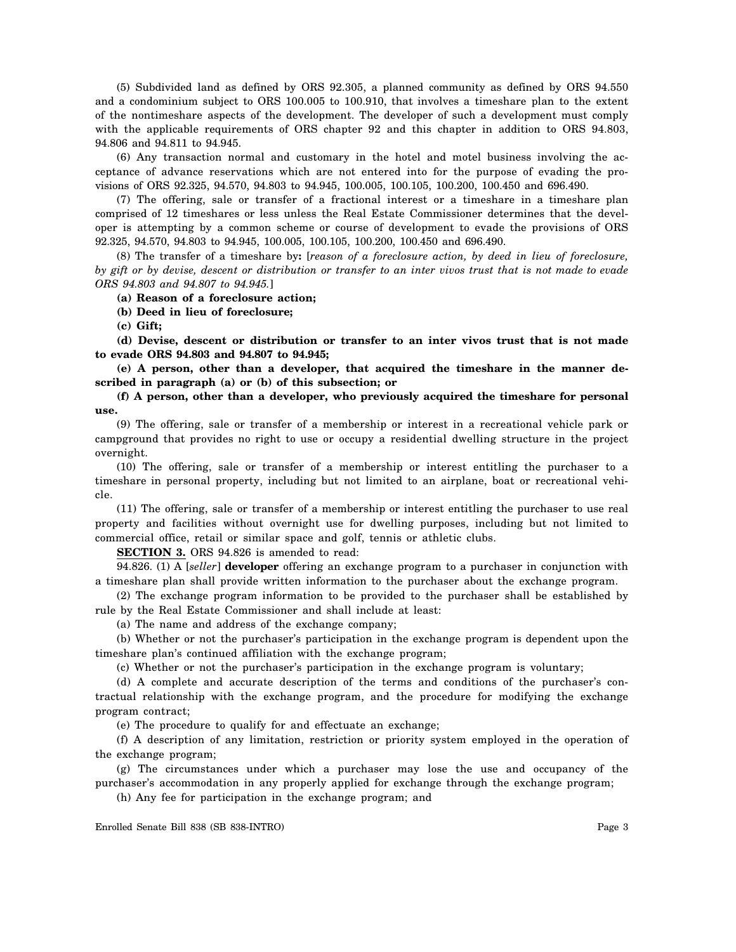(5) Subdivided land as defined by ORS 92.305, a planned community as defined by ORS 94.550 and a condominium subject to ORS 100.005 to 100.910, that involves a timeshare plan to the extent of the nontimeshare aspects of the development. The developer of such a development must comply with the applicable requirements of ORS chapter 92 and this chapter in addition to ORS 94.803, 94.806 and 94.811 to 94.945.

(6) Any transaction normal and customary in the hotel and motel business involving the acceptance of advance reservations which are not entered into for the purpose of evading the provisions of ORS 92.325, 94.570, 94.803 to 94.945, 100.005, 100.105, 100.200, 100.450 and 696.490.

(7) The offering, sale or transfer of a fractional interest or a timeshare in a timeshare plan comprised of 12 timeshares or less unless the Real Estate Commissioner determines that the developer is attempting by a common scheme or course of development to evade the provisions of ORS 92.325, 94.570, 94.803 to 94.945, 100.005, 100.105, 100.200, 100.450 and 696.490.

(8) The transfer of a timeshare by**:** [*reason of a foreclosure action, by deed in lieu of foreclosure, by gift or by devise, descent or distribution or transfer to an inter vivos trust that is not made to evade ORS 94.803 and 94.807 to 94.945.*]

**(a) Reason of a foreclosure action;**

**(b) Deed in lieu of foreclosure;**

**(c) Gift;**

**(d) Devise, descent or distribution or transfer to an inter vivos trust that is not made to evade ORS 94.803 and 94.807 to 94.945;**

**(e) A person, other than a developer, that acquired the timeshare in the manner described in paragraph (a) or (b) of this subsection; or**

**(f) A person, other than a developer, who previously acquired the timeshare for personal use.**

(9) The offering, sale or transfer of a membership or interest in a recreational vehicle park or campground that provides no right to use or occupy a residential dwelling structure in the project overnight.

(10) The offering, sale or transfer of a membership or interest entitling the purchaser to a timeshare in personal property, including but not limited to an airplane, boat or recreational vehicle.

(11) The offering, sale or transfer of a membership or interest entitling the purchaser to use real property and facilities without overnight use for dwelling purposes, including but not limited to commercial office, retail or similar space and golf, tennis or athletic clubs.

**SECTION 3.** ORS 94.826 is amended to read:

94.826. (1) A [*seller*] **developer** offering an exchange program to a purchaser in conjunction with a timeshare plan shall provide written information to the purchaser about the exchange program.

(2) The exchange program information to be provided to the purchaser shall be established by rule by the Real Estate Commissioner and shall include at least:

(a) The name and address of the exchange company;

(b) Whether or not the purchaser's participation in the exchange program is dependent upon the timeshare plan's continued affiliation with the exchange program;

(c) Whether or not the purchaser's participation in the exchange program is voluntary;

(d) A complete and accurate description of the terms and conditions of the purchaser's contractual relationship with the exchange program, and the procedure for modifying the exchange program contract;

(e) The procedure to qualify for and effectuate an exchange;

(f) A description of any limitation, restriction or priority system employed in the operation of the exchange program;

(g) The circumstances under which a purchaser may lose the use and occupancy of the purchaser's accommodation in any properly applied for exchange through the exchange program;

(h) Any fee for participation in the exchange program; and

Enrolled Senate Bill 838 (SB 838-INTRO) Page 3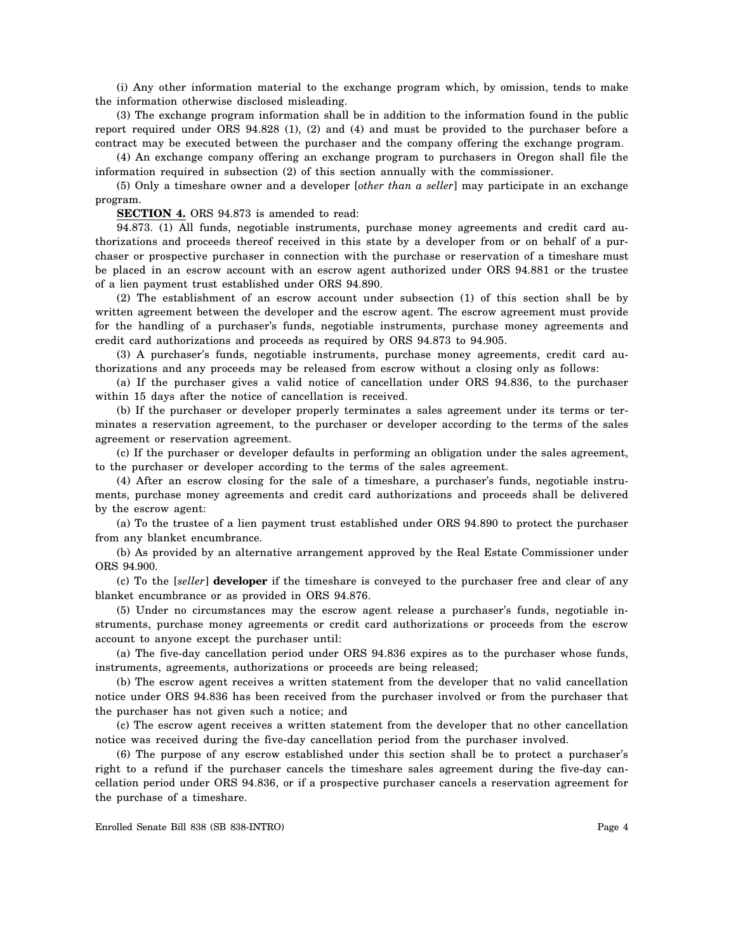(i) Any other information material to the exchange program which, by omission, tends to make the information otherwise disclosed misleading.

(3) The exchange program information shall be in addition to the information found in the public report required under ORS 94.828 (1), (2) and (4) and must be provided to the purchaser before a contract may be executed between the purchaser and the company offering the exchange program.

(4) An exchange company offering an exchange program to purchasers in Oregon shall file the information required in subsection (2) of this section annually with the commissioner.

(5) Only a timeshare owner and a developer [*other than a seller*] may participate in an exchange program.

**SECTION 4.** ORS 94.873 is amended to read:

94.873. (1) All funds, negotiable instruments, purchase money agreements and credit card authorizations and proceeds thereof received in this state by a developer from or on behalf of a purchaser or prospective purchaser in connection with the purchase or reservation of a timeshare must be placed in an escrow account with an escrow agent authorized under ORS 94.881 or the trustee of a lien payment trust established under ORS 94.890.

(2) The establishment of an escrow account under subsection (1) of this section shall be by written agreement between the developer and the escrow agent. The escrow agreement must provide for the handling of a purchaser's funds, negotiable instruments, purchase money agreements and credit card authorizations and proceeds as required by ORS 94.873 to 94.905.

(3) A purchaser's funds, negotiable instruments, purchase money agreements, credit card authorizations and any proceeds may be released from escrow without a closing only as follows:

(a) If the purchaser gives a valid notice of cancellation under ORS 94.836, to the purchaser within 15 days after the notice of cancellation is received.

(b) If the purchaser or developer properly terminates a sales agreement under its terms or terminates a reservation agreement, to the purchaser or developer according to the terms of the sales agreement or reservation agreement.

(c) If the purchaser or developer defaults in performing an obligation under the sales agreement, to the purchaser or developer according to the terms of the sales agreement.

(4) After an escrow closing for the sale of a timeshare, a purchaser's funds, negotiable instruments, purchase money agreements and credit card authorizations and proceeds shall be delivered by the escrow agent:

(a) To the trustee of a lien payment trust established under ORS 94.890 to protect the purchaser from any blanket encumbrance.

(b) As provided by an alternative arrangement approved by the Real Estate Commissioner under ORS 94.900.

(c) To the [*seller*] **developer** if the timeshare is conveyed to the purchaser free and clear of any blanket encumbrance or as provided in ORS 94.876.

(5) Under no circumstances may the escrow agent release a purchaser's funds, negotiable instruments, purchase money agreements or credit card authorizations or proceeds from the escrow account to anyone except the purchaser until:

(a) The five-day cancellation period under ORS 94.836 expires as to the purchaser whose funds, instruments, agreements, authorizations or proceeds are being released;

(b) The escrow agent receives a written statement from the developer that no valid cancellation notice under ORS 94.836 has been received from the purchaser involved or from the purchaser that the purchaser has not given such a notice; and

(c) The escrow agent receives a written statement from the developer that no other cancellation notice was received during the five-day cancellation period from the purchaser involved.

(6) The purpose of any escrow established under this section shall be to protect a purchaser's right to a refund if the purchaser cancels the timeshare sales agreement during the five-day cancellation period under ORS 94.836, or if a prospective purchaser cancels a reservation agreement for the purchase of a timeshare.